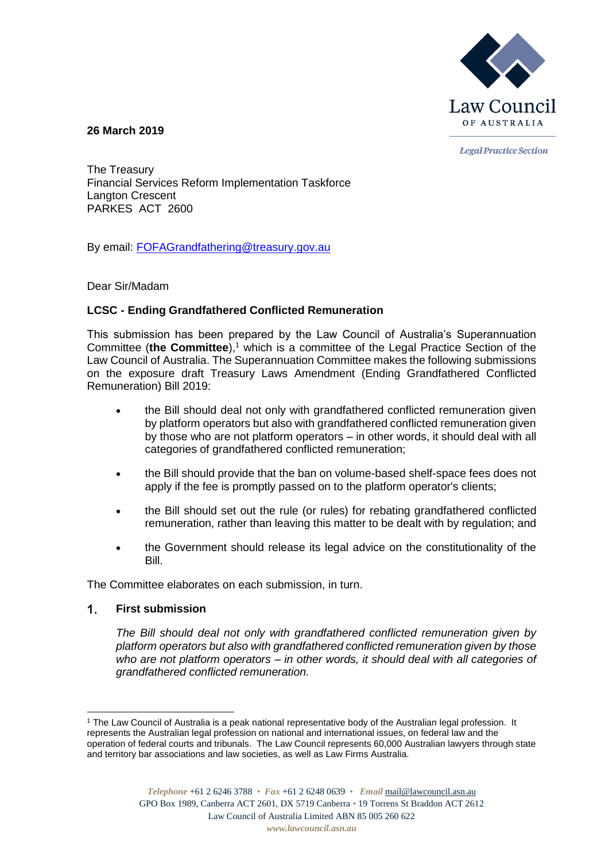

**26 March 2019**

**Legal Practice Section** 

The Treasury Financial Services Reform Implementation Taskforce Langton Crescent PARKES ACT 2600

By email: [FOFAGrandfathering@treasury.gov.au](mailto:FOFAGrandfathering@treasury.gov.au)

Dear Sir/Madam

# **LCSC - Ending Grandfathered Conflicted Remuneration**

This submission has been prepared by the Law Council of Australia's Superannuation Committee (**the Committee**),<sup>1</sup> which is a committee of the Legal Practice Section of the Law Council of Australia. The Superannuation Committee makes the following submissions on the exposure draft Treasury Laws Amendment (Ending Grandfathered Conflicted Remuneration) Bill 2019:

- the Bill should deal not only with grandfathered conflicted remuneration given by platform operators but also with grandfathered conflicted remuneration given by those who are not platform operators – in other words, it should deal with all categories of grandfathered conflicted remuneration;
- the Bill should provide that the ban on volume-based shelf-space fees does not apply if the fee is promptly passed on to the platform operator's clients;
- the Bill should set out the rule (or rules) for rebating grandfathered conflicted remuneration, rather than leaving this matter to be dealt with by regulation; and
- the Government should release its legal advice on the constitutionality of the **Bill**

The Committee elaborates on each submission, in turn.

### $\mathbf{1}$ . **First submission**

-

*The Bill should deal not only with grandfathered conflicted remuneration given by platform operators but also with grandfathered conflicted remuneration given by those who are not platform operators – in other words, it should deal with all categories of grandfathered conflicted remuneration.*

<sup>1</sup> The Law Council of Australia is a peak national representative body of the Australian legal profession. It represents the Australian legal profession on national and international issues, on federal law and the operation of federal courts and tribunals. The Law Council represents 60,000 Australian lawyers through state and territory bar associations and law societies, as well as Law Firms Australia.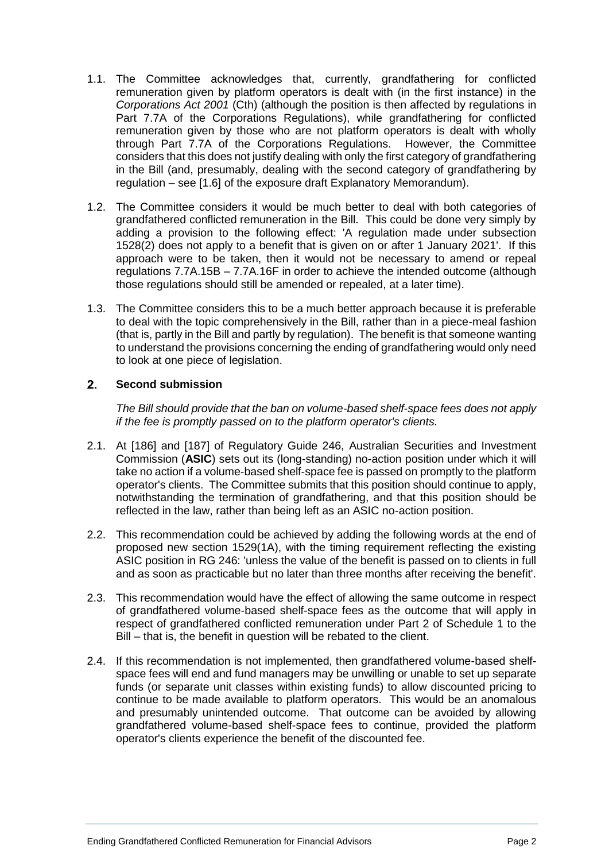- 1.1. The Committee acknowledges that, currently, grandfathering for conflicted remuneration given by platform operators is dealt with (in the first instance) in the *Corporations Act 2001* (Cth) (although the position is then affected by regulations in Part 7.7A of the Corporations Regulations), while grandfathering for conflicted remuneration given by those who are not platform operators is dealt with wholly through Part 7.7A of the Corporations Regulations. However, the Committee considers that this does not justify dealing with only the first category of grandfathering in the Bill (and, presumably, dealing with the second category of grandfathering by regulation – see [1.6] of the exposure draft Explanatory Memorandum).
- 1.2. The Committee considers it would be much better to deal with both categories of grandfathered conflicted remuneration in the Bill. This could be done very simply by adding a provision to the following effect: 'A regulation made under subsection 1528(2) does not apply to a benefit that is given on or after 1 January 2021'. If this approach were to be taken, then it would not be necessary to amend or repeal regulations 7.7A.15B – 7.7A.16F in order to achieve the intended outcome (although those regulations should still be amended or repealed, at a later time).
- 1.3. The Committee considers this to be a much better approach because it is preferable to deal with the topic comprehensively in the Bill, rather than in a piece-meal fashion (that is, partly in the Bill and partly by regulation). The benefit is that someone wanting to understand the provisions concerning the ending of grandfathering would only need to look at one piece of legislation.

### $2.$ **Second submission**

*The Bill should provide that the ban on volume-based shelf-space fees does not apply if the fee is promptly passed on to the platform operator's clients.*

- 2.1. At [186] and [187] of Regulatory Guide 246, Australian Securities and Investment Commission (**ASIC**) sets out its (long-standing) no-action position under which it will take no action if a volume-based shelf-space fee is passed on promptly to the platform operator's clients. The Committee submits that this position should continue to apply, notwithstanding the termination of grandfathering, and that this position should be reflected in the law, rather than being left as an ASIC no-action position.
- 2.2. This recommendation could be achieved by adding the following words at the end of proposed new section 1529(1A), with the timing requirement reflecting the existing ASIC position in RG 246: 'unless the value of the benefit is passed on to clients in full and as soon as practicable but no later than three months after receiving the benefit'.
- 2.3. This recommendation would have the effect of allowing the same outcome in respect of grandfathered volume-based shelf-space fees as the outcome that will apply in respect of grandfathered conflicted remuneration under Part 2 of Schedule 1 to the Bill – that is, the benefit in question will be rebated to the client.
- 2.4. If this recommendation is not implemented, then grandfathered volume-based shelfspace fees will end and fund managers may be unwilling or unable to set up separate funds (or separate unit classes within existing funds) to allow discounted pricing to continue to be made available to platform operators. This would be an anomalous and presumably unintended outcome. That outcome can be avoided by allowing grandfathered volume-based shelf-space fees to continue, provided the platform operator's clients experience the benefit of the discounted fee.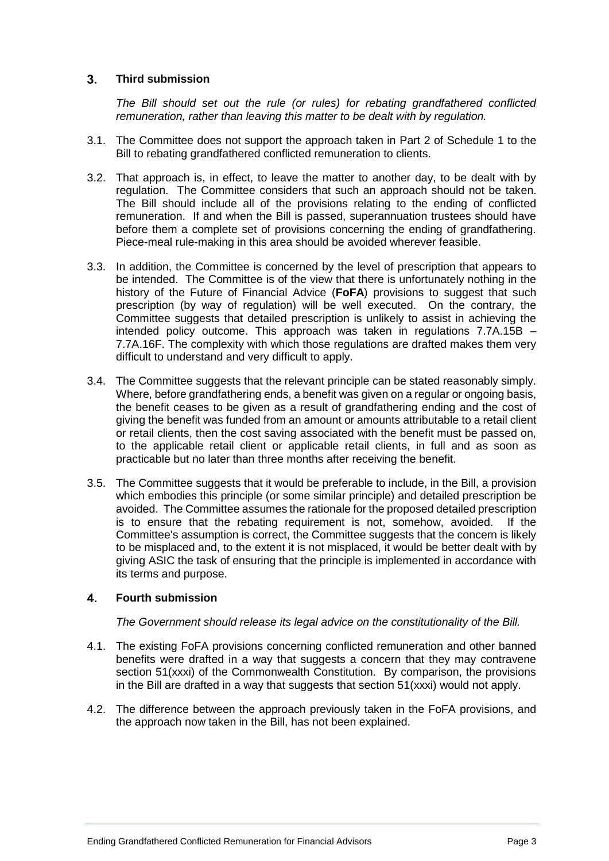### $3<sup>1</sup>$ **Third submission**

*The Bill should set out the rule (or rules) for rebating grandfathered conflicted remuneration, rather than leaving this matter to be dealt with by regulation.*

- 3.1. The Committee does not support the approach taken in Part 2 of Schedule 1 to the Bill to rebating grandfathered conflicted remuneration to clients.
- 3.2. That approach is, in effect, to leave the matter to another day, to be dealt with by regulation. The Committee considers that such an approach should not be taken. The Bill should include all of the provisions relating to the ending of conflicted remuneration. If and when the Bill is passed, superannuation trustees should have before them a complete set of provisions concerning the ending of grandfathering. Piece-meal rule-making in this area should be avoided wherever feasible.
- 3.3. In addition, the Committee is concerned by the level of prescription that appears to be intended. The Committee is of the view that there is unfortunately nothing in the history of the Future of Financial Advice (**FoFA**) provisions to suggest that such prescription (by way of regulation) will be well executed. On the contrary, the Committee suggests that detailed prescription is unlikely to assist in achieving the intended policy outcome. This approach was taken in regulations 7.7A.15B – 7.7A.16F. The complexity with which those regulations are drafted makes them very difficult to understand and very difficult to apply.
- 3.4. The Committee suggests that the relevant principle can be stated reasonably simply. Where, before grandfathering ends, a benefit was given on a regular or ongoing basis, the benefit ceases to be given as a result of grandfathering ending and the cost of giving the benefit was funded from an amount or amounts attributable to a retail client or retail clients, then the cost saving associated with the benefit must be passed on, to the applicable retail client or applicable retail clients, in full and as soon as practicable but no later than three months after receiving the benefit.
- 3.5. The Committee suggests that it would be preferable to include, in the Bill, a provision which embodies this principle (or some similar principle) and detailed prescription be avoided. The Committee assumes the rationale for the proposed detailed prescription is to ensure that the rebating requirement is not, somehow, avoided. If the Committee's assumption is correct, the Committee suggests that the concern is likely to be misplaced and, to the extent it is not misplaced, it would be better dealt with by giving ASIC the task of ensuring that the principle is implemented in accordance with its terms and purpose.

### $\overline{4}$ . **Fourth submission**

# *The Government should release its legal advice on the constitutionality of the Bill.*

- 4.1. The existing FoFA provisions concerning conflicted remuneration and other banned benefits were drafted in a way that suggests a concern that they may contravene section 51(xxxi) of the Commonwealth Constitution. By comparison, the provisions in the Bill are drafted in a way that suggests that section  $51(xxxi)$  would not apply.
- 4.2. The difference between the approach previously taken in the FoFA provisions, and the approach now taken in the Bill, has not been explained.